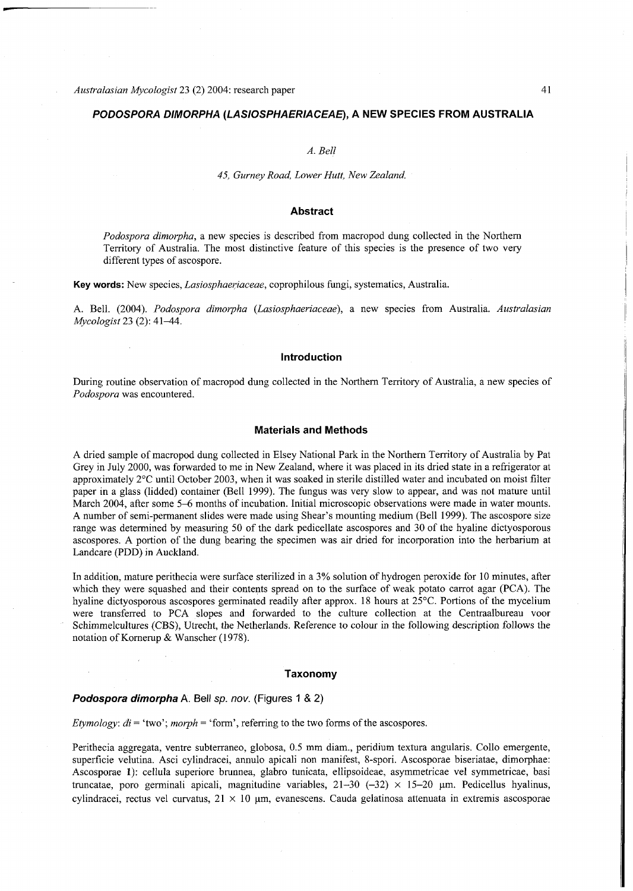# *PODOSPORA DIMORPHA (LASIOSPHAERIACEAE),* **A NE W SPECIES FRO M AUSTRALI A**

### *A. Bell*

#### *45, Gurney Road, Lower Hutt, New Zealand.*

*Podospora dimorpha,* a new species is described from macropod dung collected in the Northern Territory of Australia. The most distinctive feature of this species is the presence of two very different types of ascospore.

**Key words:** New species, *Lasiosphaeriaceae*, coprophilous fungi, systematics, Australia.

A. Bell. (2004). *Podospora dimorpha (Lasiosphaeriaceae),* a new species from Australia. *Australasian Mycologist* 23 (2): 41^14.

## **Introduction**

During routine observation of macropod dung collected in the Northern Territory of Australia, a new species of Podospora was encountered.

## **Materials and Methods**

A dried sample of macropod dung collected in Elsey National Park in the Northern Territory of Australia by Pat Grey in July 2000, was forwarded to me in New Zealand, where it was placed in its dried state in a refrigerator at approximately 2°C until October 2003, when it was soaked in sterile distilled water and incubated on moist filter paper in a glass (lidded) container (Bell 1999). The fungus was very slow to appear, and was not mature until March 2004, after some 5–6 months of incubation. Initial microscopic observations were made in water mounts. A number of semi-permanent slides were made using Shear's mounting medium (Bell 1999). The ascospore size range wa s determined by measuring 50 of the dark pedicellate ascospores and 30 of the hyaline dictyosporous ascospores. A portion of the dung bearing the specimen wa s air dried for incorporation into the herbarium at Landcare (PDD) in Auckland.

In addition, mature perithecia were surface sterilized in a 3% solution of hydrogen peroxide for 10 minutes, after which they were squashed and their contents spread on to the surface of weak potato carrot agar (PCA). The hyaline dictyosporous ascospores germinated readily after approx. 18 hours at 25°C. Portions of the mycelium were transferred to PCA slopes and forwarded to the culture collection at the Centraalbureau voor Schimmelcultures (CBS), Utrecht, the Netherlands. Reference to colour in the following description follows the notation of Kornerup & Wanscher (1978).

## **Taxonom y**

#### *Podospora dimorpha* A. Bell *sp. nov.* (Figures 1 & 2)

*Etymology: di* = 'two'; *morph* = 'form', referring to the two forms of the ascospores.

Perithecia aggregata, ventre subterraneo, globosa, 0.5 mm diam., peridium textura angularis. Collo emergente, superficie velutina. Asci cylindracei, annulo apicali non manifest, 8-spori. Ascosporae biseriatae, dimorphae: Ascosporae 1): cellula superiore brunnea, glabro tunicata, ellipsoideae, asymmetricae vel symmetricae, basi truncatae, poro germinali apicali, magnitudine variables,  $21-30$   $(-32) \times 15-20$  µm. Pedicellus hyalinus, cylindracei, rectus vel curvatus,  $21 \times 10$  µm, evanescens. Cauda gelatinosa attenuata in extremis ascosporae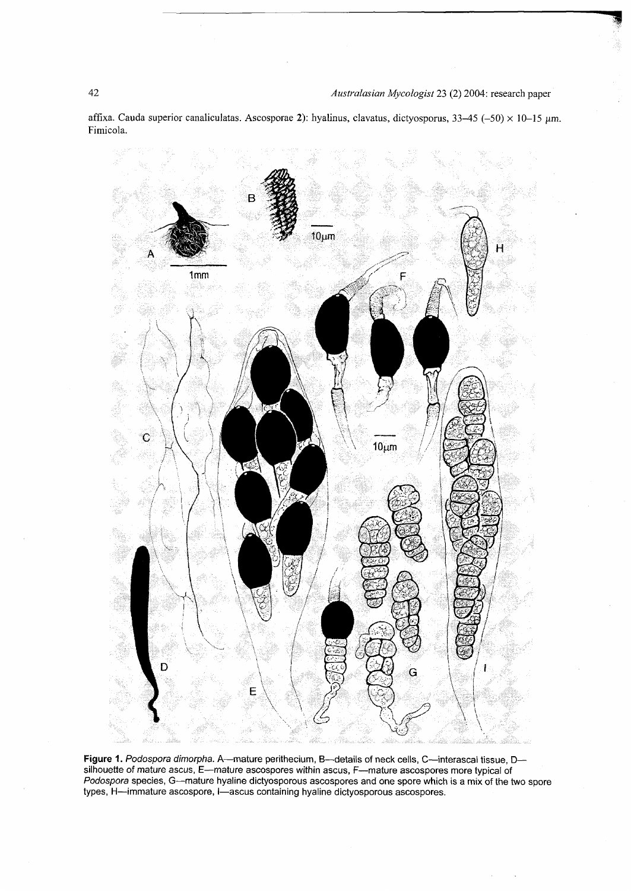affixa. Cauda superior canaliculatas. Ascosporae 2): hyalinus, clavatus, dictyosporus, 33-45 (-50) x 10-15 µm. Fimicola.



**Figure 1.** *Podospora dimorpha.* A—mature perithecium, B—details of neck cells, C—interascal tissue, D silhouette of mature ascus, E—mature ascospores within ascus, F—mature ascospores more typical of *Podospora* species, G—mature hyaline dictyosporous ascospores and one spore which is a mix of the two spore types, H—immature ascospore, I—ascus containing hyaline dictyosporous ascospores.

 $42\,$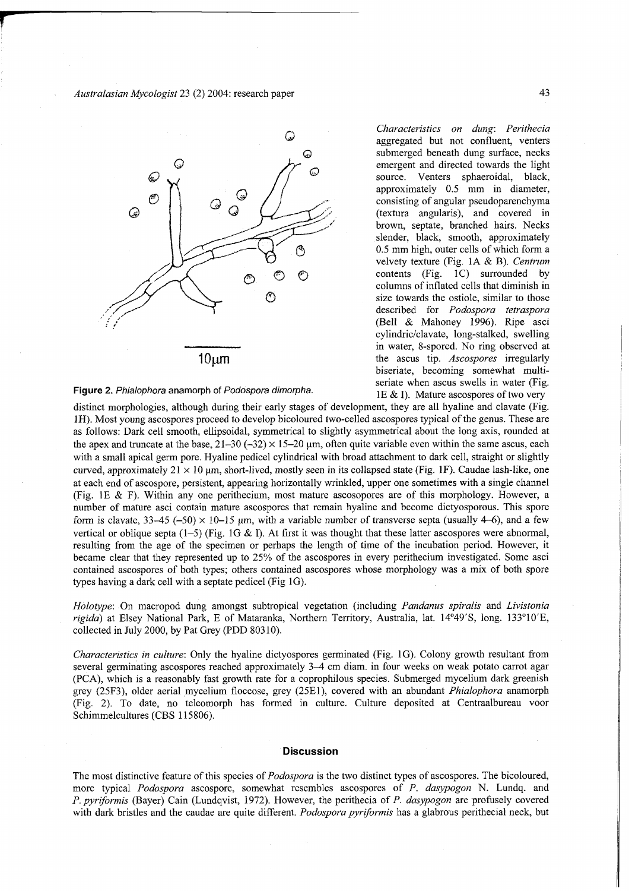Australasian Mycologist 23 (2) 2004: research paper



**Figure 2.** *Phialophora* anamorph of *Podospora dimorpha.* 

*Characteristics on dung: Perithecia*  aggregated but not confluent, venters submerged beneath dung surface, necks emergent and directed towards the light source. Venters sphaeroidal, black, approximately 0.5 mm in diameter, consisting of angular pseudoparenchyma (textura angularis), and covered in brown, septate, branched hairs. Necks slender, black, smooth, approximately 0.5 mm high, outer cells of which form a velvety texture (Fig. 1A & B). *Centrum*  contents (Fig. 1C) surrounded by columns of inflated cells that diminish in size towards the ostiole, similar to those described for *Podospora tetraspora*  (Bell & Mahoney 1996). Ripe asci cylindric/clavate, long-stalked, swelling in water, 8-spored. No ring observed at the ascus tip. *Ascospores* irregularly biseriate, becoming somewhat multiseriate when ascus swells in water (Fig. IE & I). Mature ascospores of two very

distinct morphologies, although during their early stages of development, they are all hyaline and clavate (Fig. 1H). Most young ascospores proceed to develop bicoloured two-celled ascospores typical of the genus. These are as follows: Dark cell smooth, ellipsoidal, symmetrical to slightly asymmetrical about the long axis, rounded at the apex and truncate at the base,  $21-30$   $(-32) \times 15-20$  µm, often quite variable even within the same ascus, each with a small apical germ pore. Hyaline pedicel cylindrical with broad attachment to dark cell, straight or slightly curved, approximately  $21 \times 10$  um, short-lived, mostly seen in its collapsed state (Fig. 1F). Caudae lash-like, one at each end of ascospore, persistent, appearing horizontally wrinkled, upper one sometimes with a single channel (Fig. IE & F). Within any one perithecium, most matur e ascosopores are of this morphology. However, a number of mature asci contain mature ascospores that remain hyaline and become dictyosporous. This spore form is clavate,  $33-45$  (-50)  $\times$  10-15 um, with a variable number of transverse septa (usually 4-6), and a few vertical or oblique septa (1-5) (Fig. 1G & I). At first it was thought that these latter ascospores were abnormal, resulting from the age of the specimen or perhaps the length of time of the incubation period. However, it became clear that they represented up to 25% of the ascospores in every perithecium investigated. Some asci contained ascospores of both types; others contained ascospores whose morphology was a mix of both spore types having a dark cell with a septate pedicel (Fig  $1G$ ).

*Holotype:* On macropod dung amongst subtropical vegetation (including *Pandanus spiralis* and *Livistonia rigida)* at Elsey National Park, E of Mataranka, Northern Territory, Australia, lat. 14°49'S, long. 133°10'E, collected in July 2000, by Pat Grey (PDD 80310).

*Characteristics in culture:* Only the hyaline dictyospores germinated (Fig. 1G). Colony growth resultant from several germinating ascospores reached approximately 3–4 cm diam. in four weeks on weak potato carrot agar (PCA), which is a reasonably fast growth rate for a coprophilous species. Submerged mycelium dark greenish grey (25F3), older aerial mycelium fioccose, grey (25E1), covered with an abundant *Phialophora* anamorph (Fig. 2). To date, no teleomorph has formed in culture. Culture deposited at Centraalbureau voor Schimmelcultures (CBS 115806).

#### **Discussion**

The most distinctive feature of this species of *Podospora* is the two distinct types of ascospores. The bicoloured, more typical *Podospora* ascospore, somewhat resembles ascospores of P. dasypogon N. Lundq. and *P. pyriformis* (Bayer) Cain (Lundqvist, 1972). However, the perithecia of *P. dasypogon* are profusely covered with dark bristles and the caudae are quite different. *Podospora pyriformis* has a glabrous perithecial neck, but